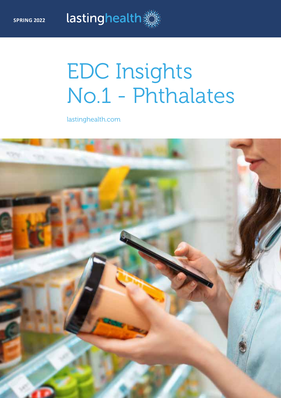# EDC Insights No.1 - Phthalates

lastinghealth.com

lastinghealth

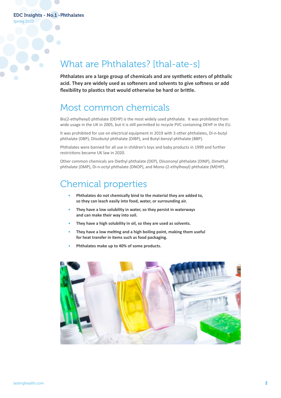Spring 2022

### What are Phthalates? [thal-ate-s]

**Phthalates are a large group of chemicals and are synthetic esters of phthalic acid. They are widely used as softeners and solvents to give softness or add flexibility to plastics that would otherwise be hard or brittle.**

### Most common chemicals

Bis(2-ethylhexyl) phthalate (DEHP) is the most widely used phthalate. It was prohibited from wide usage in the UK in 2005, but it is still permitted to recycle PVC containing DEHP in the EU.

It was prohibited for use on electrical equipment in 2019 with 3 other phthalates, Di-n-butyl phthalate (DBP), Diisobutyl phthalate (DIBP), and Butyl-benzyl phthalate (BBP).

Phthalates were banned for all use in children's toys and baby products in 1999 and further restrictions became UK law in 2020.

Other common chemicals are Diethyl phthalate (DEP), Diisononyl phthalate (DINP), Dimethyl phthalate (DMP), Di-n-octyl phthalate (DNOP), and Mono-(2-ethylhexyl) phthalate (MEHP).

### Chemical properties

- **Phthalates do not chemically bind to the material they are added to, so they can leach easily into food, water, or surrounding air.**
- **They have a low solubility in water, so they persist in waterways and can make their way into soil.**
- **They have a high solubility in oil, so they are used as solvents.**
- **They have a low melting and a high boiling point, making them useful for heat transfer in items such as food packaging.**
- **Phthalates make up to 40% of some products.**

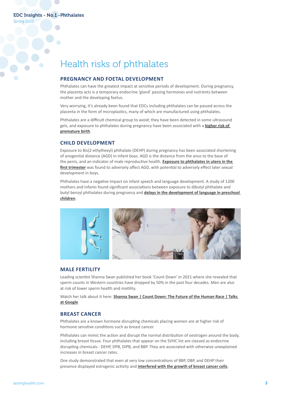Spring 2022

# Health risks of phthalates

### **PREGNANCY AND FOETAL DEVELOPMENT**

Phthalates can have the greatest impact at sensitive periods of development. During pregnancy, the placenta acts is a temporary endocrine 'gland' passing hormones and nutrients between mother and the developing foetus.

Very worrying, it's already been found that EDCs including phthalates can be passed across the placenta in the form of microplastics, many of which are manufactured using phthalates.

Phthalates are a difficult chemical group to avoid; they have been detected in some ultrasound gels, and exposure to phthalates during pregnancy have been associated with a **[higher risk of](https://lastinghealth.com/news/impacts-of-maternal-exposure-to-endocrine-disrupting-chemicals/)  [premature birth](https://lastinghealth.com/news/impacts-of-maternal-exposure-to-endocrine-disrupting-chemicals/)**.

### **CHILD DEVELOPMENT**

Exposure to Bis(2-ethylhexyl) phthalate (DEHP) during pregnancy has been associated shortening of anogenital distance (AGD) in infant boys. AGD is the distance from the anus to the base of the penis, and an indicator of male reproductive health. **[Exposure to phthalates in utero in the](https://academic.oup.com/humrep/article/30/4/963/613595?login=false)  [first trimester](https://academic.oup.com/humrep/article/30/4/963/613595?login=false)** was found to adversely affect AGD, with potential to adversely effect later sexual development in boys.

Phthalates have a negative impact on infant speech and language development. A study of 1200 mothers and infants found significant associations between exposure to dibutyl phthalate and butyl benzyl phthalates during pregnancy and **[delays in the development of language in preschool](https://lastinghealth.com/news/edcs-increase-the-risk-of-delayed-speech-development/)  [children](https://lastinghealth.com/news/edcs-increase-the-risk-of-delayed-speech-development/)**.



#### **MALE FERTILITY**

Leading scientist Shanna Swan published her book 'Count Down' in 2021 where she revealed that sperm counts in Western countries have dropped by 50% in the past four decades. Men are also at risk of lower sperm health and motility.

Watch her talk about it here: **Shanna Swan | Count Down: The Future of the Human Race | Talks [at Google](https://www.youtube.com/watch?v=O7HZ7t3fS9E)**

#### **BREAST CANCER**

Phthalates are a known hormone disrupting chemicals placing women are at higher risk of hormone sensitive conditions such as breast cancer.

Phthalates can mimic the action and disrupt the normal distribution of oestrogen around the body, including breast tissue. Four phthalates that appear on the SVHC list are classed as endocrine disrupting chemicals - DEHP, DPB, DIPB, and BBP. They are associated with otherwise unexplained increases in breast cancer rates.

One study demonstrated that even at very low concentrations of BBP, DBP, and DEHP their presence displayed estrogenic activity and **[interfered with the growth of breast cancer cells](https://pubmed.ncbi.nlm.nih.gov/28040128/)**.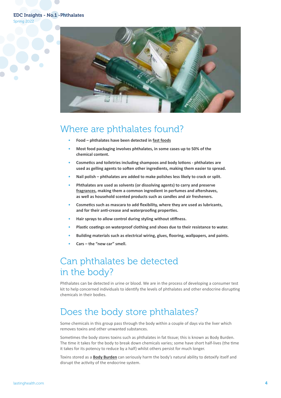### EDC Insights - No.1 -Phthalates

Spring 2022



### Where are phthalates found?

- **Food phthalates have been detected in [fast foods](https://www.nature.com/articles/s41370-021-00392-8)**
- **Most food packaging involves phthalates, in some cases up to 50% of the chemical content.**
- **Cosmetics and toiletries including shampoos and body lotions phthalates are used as gelling agents to soften other ingredients, making them easier to spread.**
- **Nail polish phthalates are added to make polishes less likely to crack or split.**
- **Phthalates are used as solvents (or dissolving agents) to carry and preserve [fragrances](https://lastinghealth.com/news/whats-lurking-in-your-favourite-fragrance/), making them a common ingredient in perfumes and aftershaves, as well as household scented products such as candles and air fresheners.**
- **Cosmetics such as mascara to add flexibility, where they are used as lubricants, and for their anti-crease and waterproofing properties.**
- **Hair sprays to allow control during styling without stiffness.**
- **Plastic coatings on waterproof clothing and shoes due to their resistance to water.**
- **Building materials such as electrical wiring, glues, flooring, wallpapers, and paints.**
- **Cars the "new car" smell.**

## Can phthalates be detected in the body?

Phthalates can be detected in urine or blood. We are in the process of developing a consumer test kit to help concerned individuals to identify the levels of phthalates and other endocrine disrupting chemicals in their bodies.

### Does the body store phthalates?

Some chemicals in this group pass through the body within a couple of days via the liver which removes toxins and other unwanted substances.

Sometimes the body stores toxins such as phthalates in fat tissue; this is known as Body Burden. The time it takes for the body to break down chemicals varies; some have short half-lives (the time it takes for its potency to reduce by a half) whilst others persist for much longer.

Toxins stored as a **[Body Burden](https://lastinghealth.com/body-burden/)** can seriously harm the body's natural ability to detoxify itself and disrupt the activity of the endocrine system.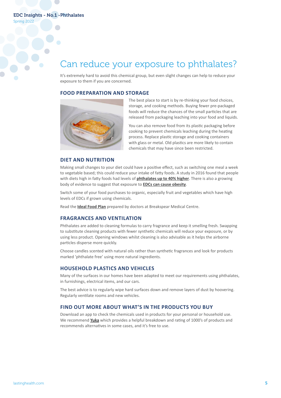### Can reduce your exposure to phthalates?

It's extremely hard to avoid this chemical group, but even slight changes can help to reduce your exposure to them if you are concerned.

#### **FOOD PREPARATION AND STORAGE**



The best place to start is by re-thinking your food choices, storage, and cooking methods. Buying fewer pre-packaged foods will reduce the chances of the small particles that are released from packaging leaching into your food and liquids.

You can also remove food from its plastic packaging before cooking to prevent chemicals leaching during the heating process. Replace plastic storage and cooking containers with glass or metal. Old plastics are more likely to contain chemicals that may have since been restricted.

#### **DIET AND NUTRITION**

Making small changes to your diet could have a positive effect, such as switching one meal a week to vegetable based; this could reduce your intake of fatty foods. A study in 2016 found that people with diets high in fatty foods had levels of **[phthalates up to 40% higher](https://ehp.niehs.nih.gov/doi/10.1289/ehp.1510803#tab1)**. There is also a growing body of evidence to suggest that exposure to **[EDCs can cause obesity](https://lastinghealth.com/news/can-chemicals-cause-obesity/)**.

Switch some of your food purchases to organic, especially fruit and vegetables which have high levels of EDCs if grown using chemicals.

Read the **[Ideal Food Plan](https://lastinghealth.com/news/the-ideal-food-plan/)** prepared by doctors at Breakspear Medical Centre.

### **FRAGRANCES AND VENTILATION**

Phthalates are added to cleaning formulas to carry fragrance and keep it smelling fresh. Swapping to substitute cleaning products with fewer synthetic chemicals will reduce your exposure, or by using less product. Opening windows whilst cleaning is also advisable as it helps the airborne particles disperse more quickly.

Choose candles scented with natural oils rather than synthetic fragrances and look for products marked 'phthalate free' using more natural ingredients.

### **HOUSEHOLD PLASTICS AND VEHICLES**

Many of the surfaces in our homes have been adapted to meet our requirements using phthalates, in furnishings, electrical items, and our cars.

The best advice is to regularly wipe hard surfaces down and remove layers of dust by hoovering. Regularly ventilate rooms and new vehicles.

### **FIND OUT MORE ABOUT WHAT'S IN THE PRODUCTS YOU BUY**

Download an app to check the chemicals used in products for your personal or household use. We recommend **[Yuka](https://yuka.io/en/app/)** which provides a helpful breakdown and rating of 1000's of products and recommends alternatives in some cases, and it's free to use.